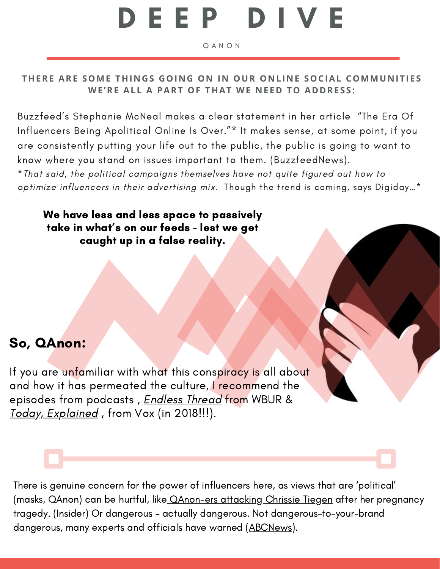## D E E P D I V E

Q A N O N

## THERE ARE SOME THINGS GOING ON IN OUR ONLINE SOCIAL COMMUNITIES **WE 'RE ALL A PART OF THAT WE N E ED TO ADDRE S S :**

Buzzfeed's Stephanie McNeal makes a clear statement in her article ["](https://www.buzzfeednews.com/article/stephaniemcneal/the-era-of-influencers-being-apolitical-online-is-over)The Era Of [Influencers](https://www.buzzfeednews.com/article/stephaniemcneal/the-era-of-influencers-being-apolitical-online-is-over) Being Apolitical [Online](https://www.buzzfeednews.com/article/stephaniemcneal/the-era-of-influencers-being-apolitical-online-is-over) Is Over."\* It makes sense, at some point, if you are consistently putting your life out to the public, the public is going to want to know where you stand on issues important to them. (BuzzfeedNews).

\*That said, the political campaigns themselves have not quite figured out how to optimize influencers in their advertising mix. [T](https://digiday.com/marketing/wildly-under-utilized-what-influencer-marketing-looks-like-for-the-2020-election/)hough the trend is coming, says [Digiday…\\*](https://digiday.com/marketing/wildly-under-utilized-what-influencer-marketing-looks-like-for-the-2020-election/)

We have less and less space to passively take in what' s on our feeds - lest we get caught up in a false reality.

## So, QAnon:

If you are unfamiliar with what this conspiracy is all about and how it has permeated the culture, I recommend the episodes from podcasts, *[Endless](https://www.wbur.org/endlessthread/2020/10/02/qanon-casualties-conspiracy-theory) Thread* from WBUR & Today, [Explained](https://www.vox.com/policy-and-politics/2018/8/1/17253444/qanon-trump-conspiracy-theory-4chan-explainer), from Vox (in 2018!!!).

There is genuine concern for the power of influencers here, as views that are 'political' (masks, QAnon) can be hurtful, like [QAnon-ers](https://www.insider.com/chrissy-teigen-child-pregnancy-qanon-harassment-after-losing-birth-explained-2020-10) attacking Chrissie Tiegen after her pregnancy tragedy. (Insider) Or dangerous – actually dangerous. Not dangerous-to-your-brand dangerous, many experts and officials have warned (ABCNews).